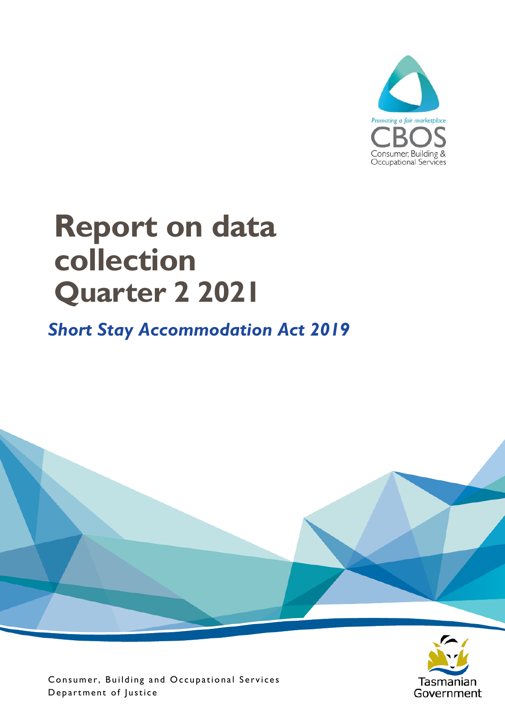

# **Report on data collection Quarter 2 2021**

#### *Short Stay Accommodation Act 2019*



Consumer, Building and Occupational Services Department of Justice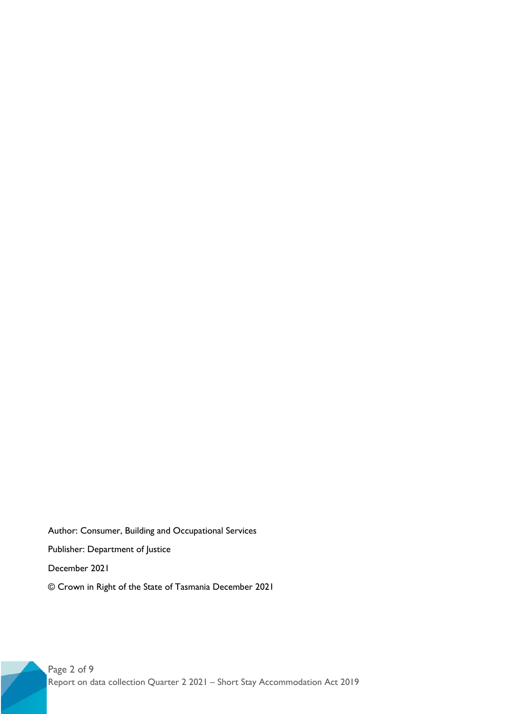Author: Consumer, Building and Occupational Services Publisher: Department of Justice December 2021 © Crown in Right of the State of Tasmania December 2021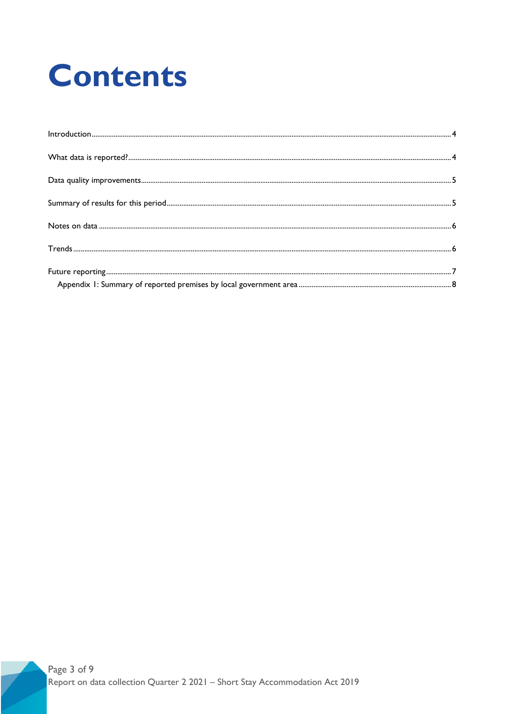# **Contents**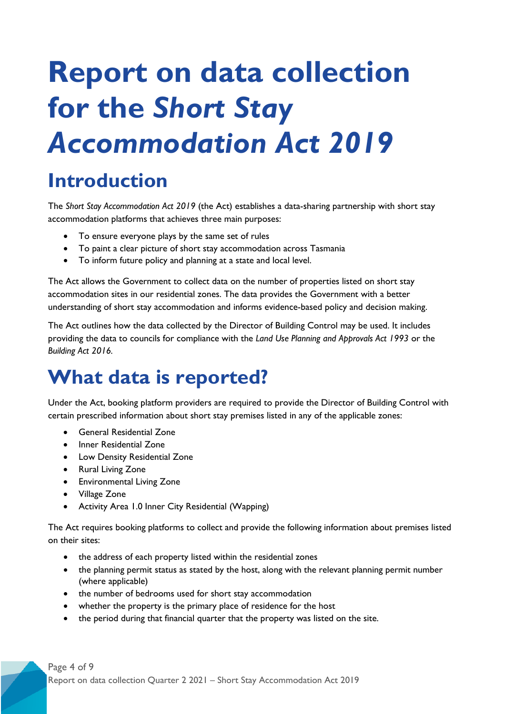# **Report on data collection for the** *Short Stay Accommodation Act 2019*

### <span id="page-3-0"></span>**Introduction**

The *Short Stay Accommodation Act 2019* (the Act) establishes a data-sharing partnership with short stay accommodation platforms that achieves three main purposes:

- To ensure everyone plays by the same set of rules
- To paint a clear picture of short stay accommodation across Tasmania
- To inform future policy and planning at a state and local level.

The Act allows the Government to collect data on the number of properties listed on short stay accommodation sites in our residential zones. The data provides the Government with a better understanding of short stay accommodation and informs evidence-based policy and decision making.

The Act outlines how the data collected by the Director of Building Control may be used. It includes providing the data to councils for compliance with the *Land Use Planning and Approvals Act 1993* or the *Building Act 2016.*

#### <span id="page-3-1"></span>**What data is reported?**

Under the Act, booking platform providers are required to provide the Director of Building Control with certain prescribed information about short stay premises listed in any of the applicable zones:

- General Residential Zone
- Inner Residential Zone
- Low Density Residential Zone
- Rural Living Zone
- Environmental Living Zone
- Village Zone
- Activity Area 1.0 Inner City Residential (Wapping)

The Act requires booking platforms to collect and provide the following information about premises listed on their sites:

- the address of each property listed within the residential zones
- the planning permit status as stated by the host, along with the relevant planning permit number (where applicable)
- the number of bedrooms used for short stay accommodation
- whether the property is the primary place of residence for the host
- the period during that financial quarter that the property was listed on the site.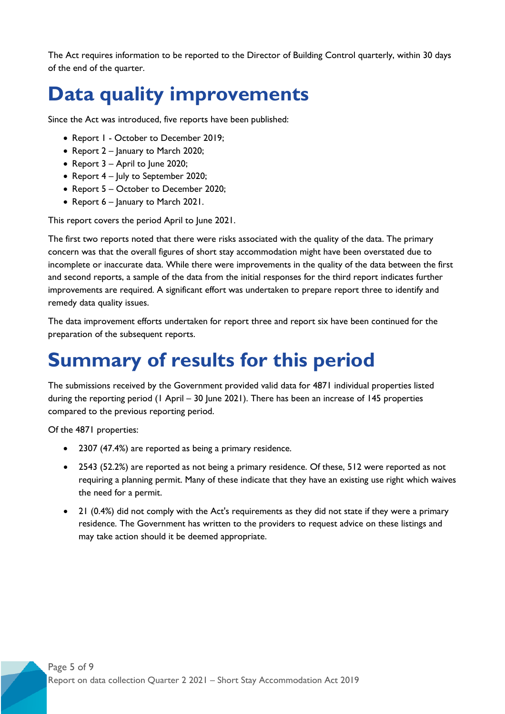The Act requires information to be reported to the Director of Building Control quarterly, within 30 days of the end of the quarter.

### <span id="page-4-0"></span>**Data quality improvements**

Since the Act was introduced, five reports have been published:

- Report 1 October to December 2019;
- Report 2 January to March 2020;
- Report 3 April to June 2020;
- Report 4 July to September 2020;
- Report 5 October to December 2020;
- Report 6 January to March 2021.

This report covers the period April to June 2021.

The first two reports noted that there were risks associated with the quality of the data. The primary concern was that the overall figures of short stay accommodation might have been overstated due to incomplete or inaccurate data. While there were improvements in the quality of the data between the first and second reports, a sample of the data from the initial responses for the third report indicates further improvements are required. A significant effort was undertaken to prepare report three to identify and remedy data quality issues.

The data improvement efforts undertaken for report three and report six have been continued for the preparation of the subsequent reports.

## <span id="page-4-1"></span>**Summary of results for this period**

The submissions received by the Government provided valid data for 4871 individual properties listed during the reporting period (1 April – 30 June 2021). There has been an increase of 145 properties compared to the previous reporting period.

Of the 4871 properties:

- 2307 (47.4%) are reported as being a primary residence.
- 2543 (52.2%) are reported as not being a primary residence. Of these, 512 were reported as not requiring a planning permit. Many of these indicate that they have an existing use right which waives the need for a permit.
- 21 (0.4%) did not comply with the Act's requirements as they did not state if they were a primary residence. The Government has written to the providers to request advice on these listings and may take action should it be deemed appropriate.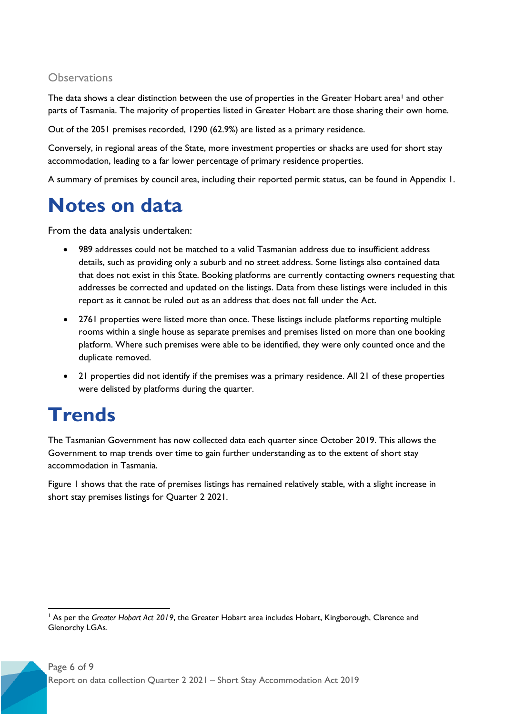#### **Observations**

The data shows a clear distinction between the use of properties in the Greater Hobart area<sup>[1](#page-5-2)</sup> and other parts of Tasmania. The majority of properties listed in Greater Hobart are those sharing their own home.

Out of the 2051 premises recorded, 1290 (62.9%) are listed as a primary residence.

Conversely, in regional areas of the State, more investment properties or shacks are used for short stay accommodation, leading to a far lower percentage of primary residence properties.

A summary of premises by council area, including their reported permit status, can be found in Appendix 1.

### <span id="page-5-0"></span>**Notes on data**

From the data analysis undertaken:

- 989 addresses could not be matched to a valid Tasmanian address due to insufficient address details, such as providing only a suburb and no street address. Some listings also contained data that does not exist in this State. Booking platforms are currently contacting owners requesting that addresses be corrected and updated on the listings. Data from these listings were included in this report as it cannot be ruled out as an address that does not fall under the Act.
- 2761 properties were listed more than once. These listings include platforms reporting multiple rooms within a single house as separate premises and premises listed on more than one booking platform. Where such premises were able to be identified, they were only counted once and the duplicate removed.
- 21 properties did not identify if the premises was a primary residence. All 21 of these properties were delisted by platforms during the quarter.

## <span id="page-5-1"></span>**Trends**

The Tasmanian Government has now collected data each quarter since October 2019. This allows the Government to map trends over time to gain further understanding as to the extent of short stay accommodation in Tasmania.

Figure 1 shows that the rate of premises listings has remained relatively stable, with a slight increase in short stay premises listings for Quarter 2 2021.

<span id="page-5-2"></span><sup>&</sup>lt;sup>1</sup> As per the *Greater Hobart Act 2019*, the Greater Hobart area includes Hobart, Kingborough, Clarence and Glenorchy LGAs.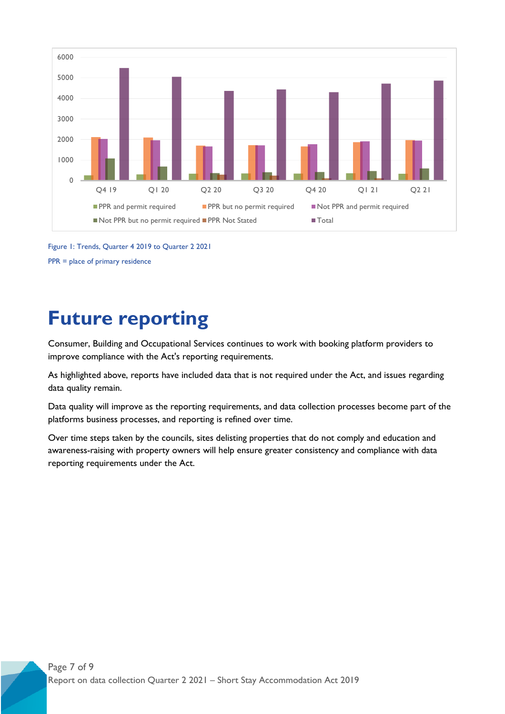

Figure 1: Trends, Quarter 4 2019 to Quarter 2 2021 PPR = place of primary residence

#### <span id="page-6-0"></span>**Future reporting**

Consumer, Building and Occupational Services continues to work with booking platform providers to improve compliance with the Act's reporting requirements.

As highlighted above, reports have included data that is not required under the Act, and issues regarding data quality remain.

Data quality will improve as the reporting requirements, and data collection processes become part of the platforms business processes, and reporting is refined over time.

Over time steps taken by the councils, sites delisting properties that do not comply and education and awareness-raising with property owners will help ensure greater consistency and compliance with data reporting requirements under the Act.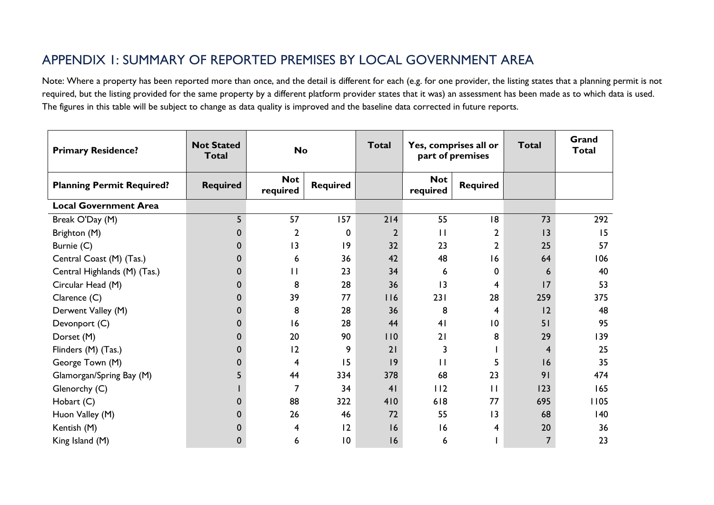#### APPENDIX 1: SUMMARY OF REPORTED PREMISES BY LOCAL GOVERNMENT AREA

Note: Where a property has been reported more than once, and the detail is different for each (e.g. for one provider, the listing states that a planning permit is not required, but the listing provided for the same property by a different platform provider states that it was) an assessment has been made as to which data is used. The figures in this table will be subject to change as data quality is improved and the baseline data corrected in future reports.

<span id="page-7-0"></span>

| <b>Primary Residence?</b>        | <b>Not Stated</b><br><b>Total</b> | <b>No</b>              |                 | <b>Total</b>   | Yes, comprises all or<br>part of premises |                 | <b>Total</b>   | Grand<br><b>Total</b> |
|----------------------------------|-----------------------------------|------------------------|-----------------|----------------|-------------------------------------------|-----------------|----------------|-----------------------|
| <b>Planning Permit Required?</b> | <b>Required</b>                   | <b>Not</b><br>required | <b>Required</b> |                | <b>Not</b><br>required                    | <b>Required</b> |                |                       |
| <b>Local Government Area</b>     |                                   |                        |                 |                |                                           |                 |                |                       |
| Break O'Day (M)                  | 5                                 | 57                     | 157             | 214            | 55                                        | 18              | 73             | 292                   |
| Brighton (M)                     |                                   | $\overline{2}$         | 0               | $\overline{2}$ | $\mathbf{H}$                              | 2               | 3              | 15                    |
| Burnie (C)                       | 0                                 | 13                     | $ 9\rangle$     | 32             | 23                                        | 2               | 25             | 57                    |
| Central Coast (M) (Tas.)         |                                   | 6                      | 36              | 42             | 48                                        | 16              | 64             | 106                   |
| Central Highlands (M) (Tas.)     | 0                                 | $\mathbf{H}$           | 23              | 34             | 6                                         | 0               | 6              | 40                    |
| Circular Head (M)                |                                   | 8                      | 28              | 36             | 13                                        | 4               | 17             | 53                    |
| Clarence (C)                     | 0                                 | 39                     | 77              | 116            | 231                                       | 28              | 259            | 375                   |
| Derwent Valley (M)               | O                                 | 8                      | 28              | 36             | 8                                         | 4               | 2              | 48                    |
| Devonport (C)                    | 0                                 | 16                     | 28              | 44             | 4 <sub>1</sub>                            | $\overline{10}$ | 51             | 95                    |
| Dorset (M)                       |                                   | 20                     | 90              | 110            | 21                                        | 8               | 29             | 139                   |
| Flinders (M) (Tas.)              | 0                                 | 12                     | 9               | 21             | 3                                         |                 | 4              | 25                    |
| George Town (M)                  |                                   | 4                      | 15              | 9              | $\mathbf{H}$                              | 5               | 16             | 35                    |
| Glamorgan/Spring Bay (M)         |                                   | 44                     | 334             | 378            | 68                                        | 23              | 91             | 474                   |
| Glenorchy (C)                    |                                   | $\overline{7}$         | 34              | 41             | 112                                       | $\mathbf{H}$    | 123            | 165                   |
| Hobart (C)                       |                                   | 88                     | 322             | 410            | 618                                       | 77              | 695            | 1105                  |
| Huon Valley (M)                  |                                   | 26                     | 46              | 72             | 55                                        | $ 3\rangle$     | 68             | 140                   |
| Kentish (M)                      |                                   | 4                      | 12              | 16             | 16                                        | 4               | 20             | 36                    |
| King Island (M)                  | 0                                 | 6                      | $\overline{10}$ | 16             | 6                                         |                 | $\overline{7}$ | 23                    |